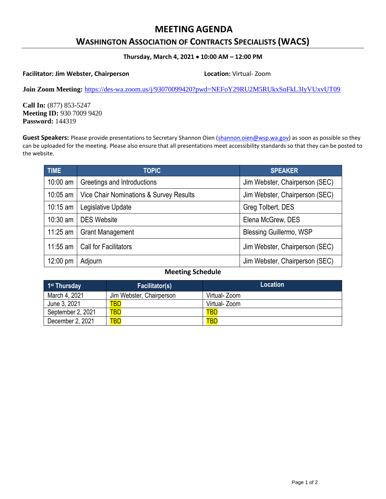# **MEETING AGENDA**

## **WASHINGTON ASSOCIATION OF CONTRACTS SPECIALISTS (WACS)**

### **Thursday, March 4, 2021 10:00 AM – 12:00 PM**

#### **Facilitator: Jim Webster, Chairperson Location:** Virtual- Zoom

**Join Zoom Meeting:** <https://des-wa.zoom.us/j/93070099420?pwd=NEFoY29RU2M5RUkxSnFkL3IyVUxvUT09>

**Call In:** (877) 853-5247 **Meeting ID:** 930 7009 9420 **Password:** 144319

Guest Speakers: Please provide presentations to Secretary Shannon Oien [\(shannon.oien@wsp.wa.gov\)](mailto:shannon.oien@wsp.wa.gov) as soon as possible so they can be uploaded for the meeting. Please also ensure that all presentations meet accessibility standards so that they can be posted to the website.

| <b>TIME</b>        | <b>TOPIC</b>                            | <b>SPEAKER</b>                 |
|--------------------|-----------------------------------------|--------------------------------|
| $10:00$ am         | Greetings and Introductions             | Jim Webster, Chairperson (SEC) |
| 10:05 am           | Vice Chair Nominations & Survey Results | Jim Webster, Chairperson (SEC) |
| $10:15$ am         | Legislative Update                      | Greg Tolbert, DES              |
| $10:30$ am         | <b>DES Website</b>                      | Elena McGrew, DES              |
| $11:25$ am         | <b>Grant Management</b>                 | <b>Blessing Guillermo, WSP</b> |
| $11:55$ am         | <b>Call for Facilitators</b>            | Jim Webster, Chairperson (SEC) |
| $12:00 \text{ pm}$ | Adjourn                                 | Jim Webster, Chairperson (SEC) |

### **Meeting Schedule**

| 1 <sup>st</sup> Thursday | <b>Facilitator(s)</b>    | <b>Location</b> |
|--------------------------|--------------------------|-----------------|
| March 4, 2021            | Jim Webster, Chairperson | Virtual- Zoom   |
| June 3, 2021             | <b>TBD</b>               | Virtual- Zoom   |
| September 2, 2021        | <b>TBD</b>               | <b>TBD</b>      |
| December 2, 2021         | <b>TBD</b>               | <b>TBD</b>      |